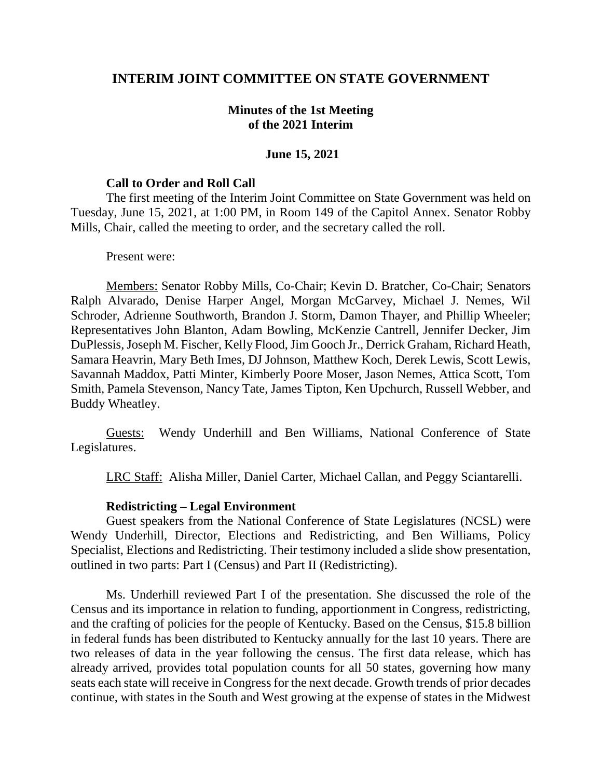# **INTERIM JOINT COMMITTEE ON STATE GOVERNMENT**

## **Minutes of the 1st Meeting of the 2021 Interim**

### **June 15, 2021**

#### **Call to Order and Roll Call**

The first meeting of the Interim Joint Committee on State Government was held on Tuesday, June 15, 2021, at 1:00 PM, in Room 149 of the Capitol Annex. Senator Robby Mills, Chair, called the meeting to order, and the secretary called the roll.

#### Present were:

Members: Senator Robby Mills, Co-Chair; Kevin D. Bratcher, Co-Chair; Senators Ralph Alvarado, Denise Harper Angel, Morgan McGarvey, Michael J. Nemes, Wil Schroder, Adrienne Southworth, Brandon J. Storm, Damon Thayer, and Phillip Wheeler; Representatives John Blanton, Adam Bowling, McKenzie Cantrell, Jennifer Decker, Jim DuPlessis, Joseph M. Fischer, Kelly Flood, Jim Gooch Jr., Derrick Graham, Richard Heath, Samara Heavrin, Mary Beth Imes, DJ Johnson, Matthew Koch, Derek Lewis, Scott Lewis, Savannah Maddox, Patti Minter, Kimberly Poore Moser, Jason Nemes, Attica Scott, Tom Smith, Pamela Stevenson, Nancy Tate, James Tipton, Ken Upchurch, Russell Webber, and Buddy Wheatley.

Guests: Wendy Underhill and Ben Williams, National Conference of State Legislatures.

LRC Staff: Alisha Miller, Daniel Carter, Michael Callan, and Peggy Sciantarelli.

#### **Redistricting – Legal Environment**

Guest speakers from the National Conference of State Legislatures (NCSL) were Wendy Underhill, Director, Elections and Redistricting, and Ben Williams, Policy Specialist, Elections and Redistricting. Their testimony included a slide show presentation, outlined in two parts: Part I (Census) and Part II (Redistricting).

Ms. Underhill reviewed Part I of the presentation. She discussed the role of the Census and its importance in relation to funding, apportionment in Congress, redistricting, and the crafting of policies for the people of Kentucky. Based on the Census, \$15.8 billion in federal funds has been distributed to Kentucky annually for the last 10 years. There are two releases of data in the year following the census. The first data release, which has already arrived, provides total population counts for all 50 states, governing how many seats each state will receive in Congress for the next decade. Growth trends of prior decades continue, with states in the South and West growing at the expense of states in the Midwest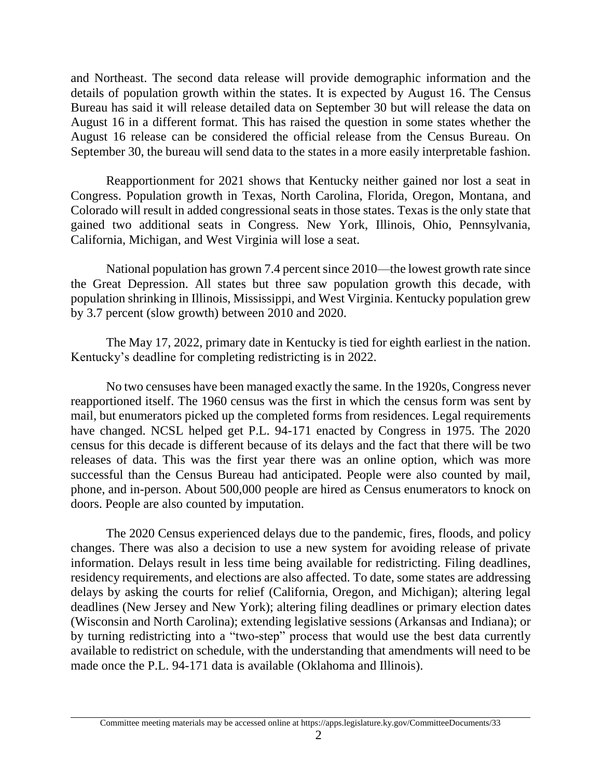and Northeast. The second data release will provide demographic information and the details of population growth within the states. It is expected by August 16. The Census Bureau has said it will release detailed data on September 30 but will release the data on August 16 in a different format. This has raised the question in some states whether the August 16 release can be considered the official release from the Census Bureau. On September 30, the bureau will send data to the states in a more easily interpretable fashion.

Reapportionment for 2021 shows that Kentucky neither gained nor lost a seat in Congress. Population growth in Texas, North Carolina, Florida, Oregon, Montana, and Colorado will result in added congressional seats in those states. Texas is the only state that gained two additional seats in Congress. New York, Illinois, Ohio, Pennsylvania, California, Michigan, and West Virginia will lose a seat.

National population has grown 7.4 percent since 2010—the lowest growth rate since the Great Depression. All states but three saw population growth this decade, with population shrinking in Illinois, Mississippi, and West Virginia. Kentucky population grew by 3.7 percent (slow growth) between 2010 and 2020.

The May 17, 2022, primary date in Kentucky is tied for eighth earliest in the nation. Kentucky's deadline for completing redistricting is in 2022.

No two censuses have been managed exactly the same. In the 1920s, Congress never reapportioned itself. The 1960 census was the first in which the census form was sent by mail, but enumerators picked up the completed forms from residences. Legal requirements have changed. NCSL helped get P.L. 94-171 enacted by Congress in 1975. The 2020 census for this decade is different because of its delays and the fact that there will be two releases of data. This was the first year there was an online option, which was more successful than the Census Bureau had anticipated. People were also counted by mail, phone, and in-person. About 500,000 people are hired as Census enumerators to knock on doors. People are also counted by imputation.

The 2020 Census experienced delays due to the pandemic, fires, floods, and policy changes. There was also a decision to use a new system for avoiding release of private information. Delays result in less time being available for redistricting. Filing deadlines, residency requirements, and elections are also affected. To date, some states are addressing delays by asking the courts for relief (California, Oregon, and Michigan); altering legal deadlines (New Jersey and New York); altering filing deadlines or primary election dates (Wisconsin and North Carolina); extending legislative sessions (Arkansas and Indiana); or by turning redistricting into a "two-step" process that would use the best data currently available to redistrict on schedule, with the understanding that amendments will need to be made once the P.L. 94-171 data is available (Oklahoma and Illinois).

Committee meeting materials may be accessed online at https://apps.legislature.ky.gov/CommitteeDocuments/33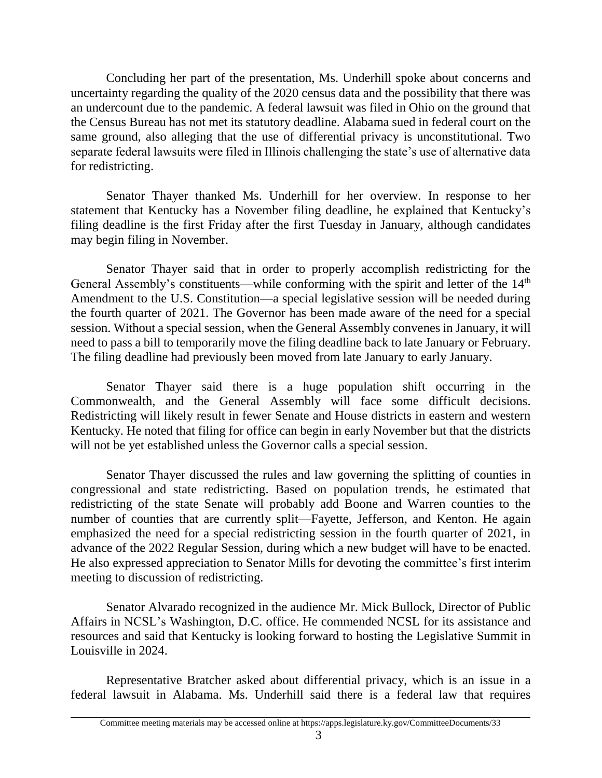Concluding her part of the presentation, Ms. Underhill spoke about concerns and uncertainty regarding the quality of the 2020 census data and the possibility that there was an undercount due to the pandemic. A federal lawsuit was filed in Ohio on the ground that the Census Bureau has not met its statutory deadline. Alabama sued in federal court on the same ground, also alleging that the use of differential privacy is unconstitutional. Two separate federal lawsuits were filed in Illinois challenging the state's use of alternative data for redistricting.

Senator Thayer thanked Ms. Underhill for her overview. In response to her statement that Kentucky has a November filing deadline, he explained that Kentucky's filing deadline is the first Friday after the first Tuesday in January, although candidates may begin filing in November.

Senator Thayer said that in order to properly accomplish redistricting for the General Assembly's constituents—while conforming with the spirit and letter of the 14<sup>th</sup> Amendment to the U.S. Constitution—a special legislative session will be needed during the fourth quarter of 2021. The Governor has been made aware of the need for a special session. Without a special session, when the General Assembly convenes in January, it will need to pass a bill to temporarily move the filing deadline back to late January or February. The filing deadline had previously been moved from late January to early January.

Senator Thayer said there is a huge population shift occurring in the Commonwealth, and the General Assembly will face some difficult decisions. Redistricting will likely result in fewer Senate and House districts in eastern and western Kentucky. He noted that filing for office can begin in early November but that the districts will not be yet established unless the Governor calls a special session.

Senator Thayer discussed the rules and law governing the splitting of counties in congressional and state redistricting. Based on population trends, he estimated that redistricting of the state Senate will probably add Boone and Warren counties to the number of counties that are currently split—Fayette, Jefferson, and Kenton. He again emphasized the need for a special redistricting session in the fourth quarter of 2021, in advance of the 2022 Regular Session, during which a new budget will have to be enacted. He also expressed appreciation to Senator Mills for devoting the committee's first interim meeting to discussion of redistricting.

Senator Alvarado recognized in the audience Mr. Mick Bullock, Director of Public Affairs in NCSL's Washington, D.C. office. He commended NCSL for its assistance and resources and said that Kentucky is looking forward to hosting the Legislative Summit in Louisville in 2024.

Representative Bratcher asked about differential privacy, which is an issue in a federal lawsuit in Alabama. Ms. Underhill said there is a federal law that requires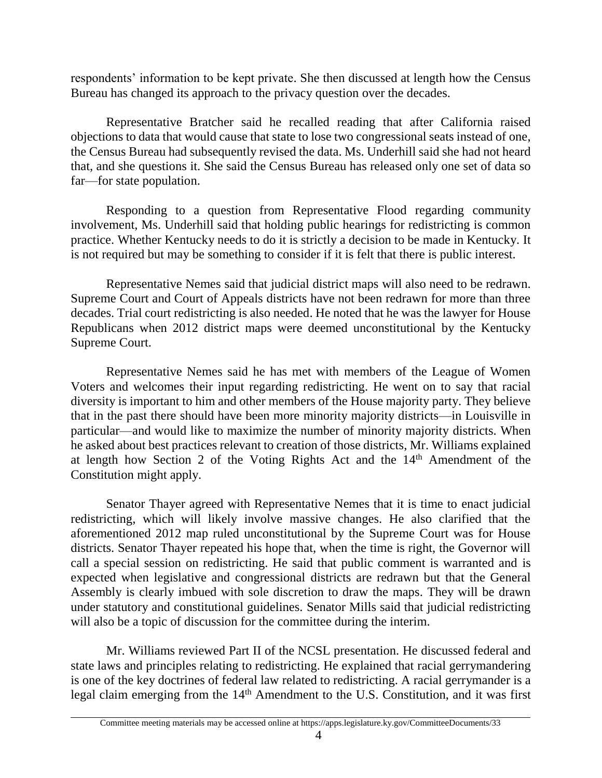respondents' information to be kept private. She then discussed at length how the Census Bureau has changed its approach to the privacy question over the decades.

Representative Bratcher said he recalled reading that after California raised objections to data that would cause that state to lose two congressional seats instead of one, the Census Bureau had subsequently revised the data. Ms. Underhill said she had not heard that, and she questions it. She said the Census Bureau has released only one set of data so far—for state population.

Responding to a question from Representative Flood regarding community involvement, Ms. Underhill said that holding public hearings for redistricting is common practice. Whether Kentucky needs to do it is strictly a decision to be made in Kentucky. It is not required but may be something to consider if it is felt that there is public interest.

Representative Nemes said that judicial district maps will also need to be redrawn. Supreme Court and Court of Appeals districts have not been redrawn for more than three decades. Trial court redistricting is also needed. He noted that he was the lawyer for House Republicans when 2012 district maps were deemed unconstitutional by the Kentucky Supreme Court.

Representative Nemes said he has met with members of the League of Women Voters and welcomes their input regarding redistricting. He went on to say that racial diversity is important to him and other members of the House majority party. They believe that in the past there should have been more minority majority districts—in Louisville in particular—and would like to maximize the number of minority majority districts. When he asked about best practices relevant to creation of those districts, Mr. Williams explained at length how Section 2 of the Voting Rights Act and the 14th Amendment of the Constitution might apply.

Senator Thayer agreed with Representative Nemes that it is time to enact judicial redistricting, which will likely involve massive changes. He also clarified that the aforementioned 2012 map ruled unconstitutional by the Supreme Court was for House districts. Senator Thayer repeated his hope that, when the time is right, the Governor will call a special session on redistricting. He said that public comment is warranted and is expected when legislative and congressional districts are redrawn but that the General Assembly is clearly imbued with sole discretion to draw the maps. They will be drawn under statutory and constitutional guidelines. Senator Mills said that judicial redistricting will also be a topic of discussion for the committee during the interim.

Mr. Williams reviewed Part II of the NCSL presentation. He discussed federal and state laws and principles relating to redistricting. He explained that racial gerrymandering is one of the key doctrines of federal law related to redistricting. A racial gerrymander is a legal claim emerging from the 14th Amendment to the U.S. Constitution, and it was first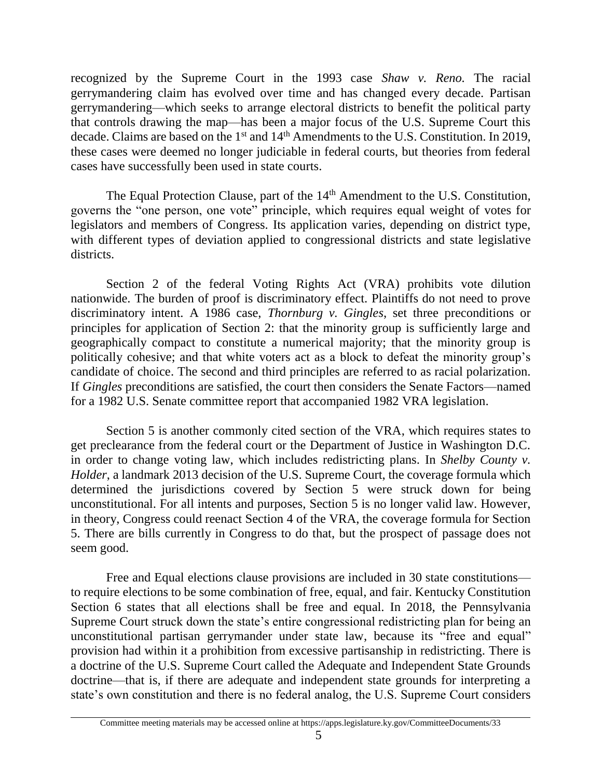recognized by the Supreme Court in the 1993 case *Shaw v. Reno.* The racial gerrymandering claim has evolved over time and has changed every decade. Partisan gerrymandering—which seeks to arrange electoral districts to benefit the political party that controls drawing the map—has been a major focus of the U.S. Supreme Court this decade. Claims are based on the 1<sup>st</sup> and 14<sup>th</sup> Amendments to the U.S. Constitution. In 2019, these cases were deemed no longer judiciable in federal courts, but theories from federal cases have successfully been used in state courts.

The Equal Protection Clause, part of the 14<sup>th</sup> Amendment to the U.S. Constitution, governs the "one person, one vote" principle, which requires equal weight of votes for legislators and members of Congress. Its application varies, depending on district type, with different types of deviation applied to congressional districts and state legislative districts.

Section 2 of the federal Voting Rights Act (VRA) prohibits vote dilution nationwide. The burden of proof is discriminatory effect. Plaintiffs do not need to prove discriminatory intent. A 1986 case, *Thornburg v. Gingles*, set three preconditions or principles for application of Section 2: that the minority group is sufficiently large and geographically compact to constitute a numerical majority; that the minority group is politically cohesive; and that white voters act as a block to defeat the minority group's candidate of choice. The second and third principles are referred to as racial polarization. If *Gingles* preconditions are satisfied, the court then considers the Senate Factors—named for a 1982 U.S. Senate committee report that accompanied 1982 VRA legislation.

Section 5 is another commonly cited section of the VRA, which requires states to get preclearance from the federal court or the Department of Justice in Washington D.C. in order to change voting law, which includes redistricting plans. In *Shelby County v. Holder*, a landmark 2013 decision of the U.S. Supreme Court, the coverage formula which determined the jurisdictions covered by Section 5 were struck down for being unconstitutional. For all intents and purposes, Section 5 is no longer valid law. However, in theory, Congress could reenact Section 4 of the VRA, the coverage formula for Section 5. There are bills currently in Congress to do that, but the prospect of passage does not seem good.

Free and Equal elections clause provisions are included in 30 state constitutions to require elections to be some combination of free, equal, and fair. Kentucky Constitution Section 6 states that all elections shall be free and equal. In 2018, the Pennsylvania Supreme Court struck down the state's entire congressional redistricting plan for being an unconstitutional partisan gerrymander under state law, because its "free and equal" provision had within it a prohibition from excessive partisanship in redistricting. There is a doctrine of the U.S. Supreme Court called the Adequate and Independent State Grounds doctrine—that is, if there are adequate and independent state grounds for interpreting a state's own constitution and there is no federal analog, the U.S. Supreme Court considers

Committee meeting materials may be accessed online at https://apps.legislature.ky.gov/CommitteeDocuments/33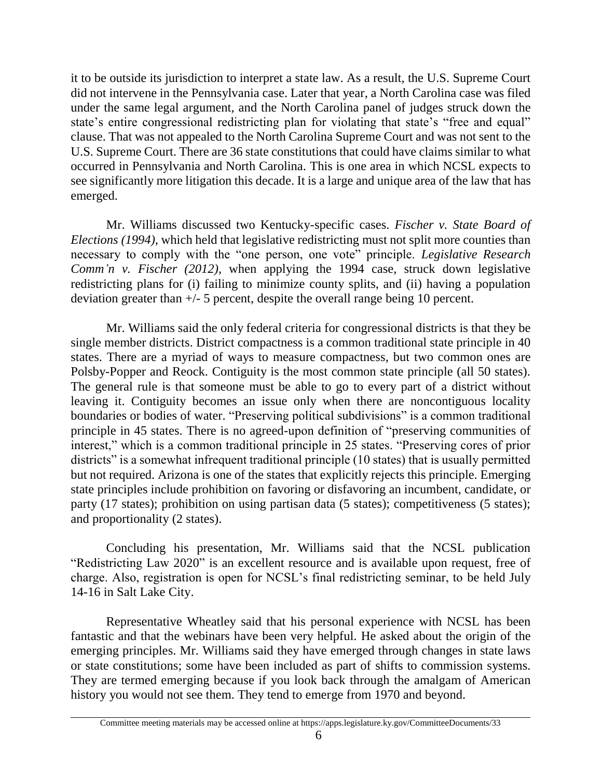it to be outside its jurisdiction to interpret a state law. As a result, the U.S. Supreme Court did not intervene in the Pennsylvania case. Later that year, a North Carolina case was filed under the same legal argument, and the North Carolina panel of judges struck down the state's entire congressional redistricting plan for violating that state's "free and equal" clause. That was not appealed to the North Carolina Supreme Court and was not sent to the U.S. Supreme Court. There are 36 state constitutions that could have claims similar to what occurred in Pennsylvania and North Carolina. This is one area in which NCSL expects to see significantly more litigation this decade. It is a large and unique area of the law that has emerged.

Mr. Williams discussed two Kentucky-specific cases. *Fischer v. State Board of Elections (1994)*, which held that legislative redistricting must not split more counties than necessary to comply with the "one person, one vote" principle. *Legislative Research Comm'n v. Fischer (2012)*, when applying the 1994 case, struck down legislative redistricting plans for (i) failing to minimize county splits, and (ii) having a population deviation greater than +/- 5 percent, despite the overall range being 10 percent.

Mr. Williams said the only federal criteria for congressional districts is that they be single member districts. District compactness is a common traditional state principle in 40 states. There are a myriad of ways to measure compactness, but two common ones are Polsby-Popper and Reock. Contiguity is the most common state principle (all 50 states). The general rule is that someone must be able to go to every part of a district without leaving it. Contiguity becomes an issue only when there are noncontiguous locality boundaries or bodies of water. "Preserving political subdivisions" is a common traditional principle in 45 states. There is no agreed-upon definition of "preserving communities of interest," which is a common traditional principle in 25 states. "Preserving cores of prior districts" is a somewhat infrequent traditional principle (10 states) that is usually permitted but not required. Arizona is one of the states that explicitly rejects this principle. Emerging state principles include prohibition on favoring or disfavoring an incumbent, candidate, or party (17 states); prohibition on using partisan data (5 states); competitiveness (5 states); and proportionality (2 states).

Concluding his presentation, Mr. Williams said that the NCSL publication "Redistricting Law 2020" is an excellent resource and is available upon request, free of charge. Also, registration is open for NCSL's final redistricting seminar, to be held July 14-16 in Salt Lake City.

Representative Wheatley said that his personal experience with NCSL has been fantastic and that the webinars have been very helpful. He asked about the origin of the emerging principles. Mr. Williams said they have emerged through changes in state laws or state constitutions; some have been included as part of shifts to commission systems. They are termed emerging because if you look back through the amalgam of American history you would not see them. They tend to emerge from 1970 and beyond.